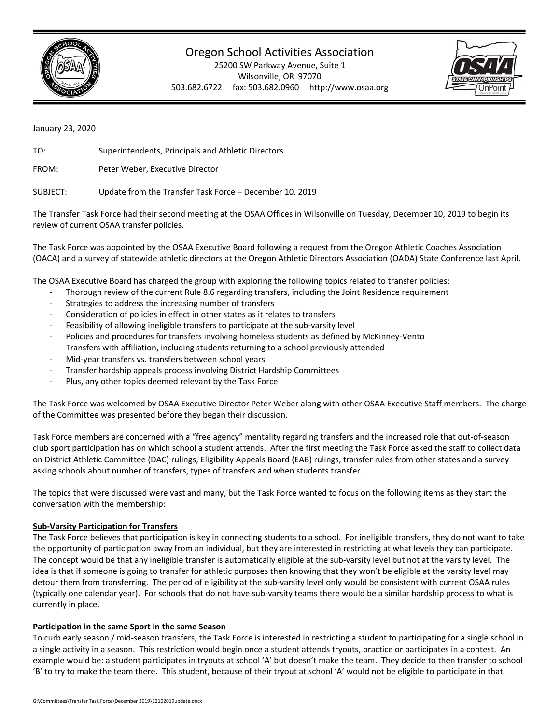

# Oregon School Activities Association

25200 SW Parkway Avenue, Suite 1 Wilsonville, OR 97070 503.682.6722 fax: 503.682.0960 http://www.osaa.org



January 23, 2020

TO: Superintendents, Principals and Athletic Directors

FROM: Peter Weber, Executive Director

SUBJECT: Update from the Transfer Task Force – December 10, 2019

The Transfer Task Force had their second meeting at the OSAA Offices in Wilsonville on Tuesday, December 10, 2019 to begin its review of current OSAA transfer policies.

The Task Force was appointed by the OSAA Executive Board following a request from the Oregon Athletic Coaches Association (OACA) and a survey of statewide athletic directors at the Oregon Athletic Directors Association (OADA) State Conference last April.

The OSAA Executive Board has charged the group with exploring the following topics related to transfer policies:

- Thorough review of the current Rule 8.6 regarding transfers, including the Joint Residence requirement
- Strategies to address the increasing number of transfers
- ‐ Consideration of policies in effect in other states as it relates to transfers
- Feasibility of allowing ineligible transfers to participate at the sub-varsity level
- ‐ Policies and procedures for transfers involving homeless students as defined by McKinney‐Vento
- ‐ Transfers with affiliation, including students returning to a school previously attended
- Mid-year transfers vs. transfers between school years
- ‐ Transfer hardship appeals process involving District Hardship Committees
- ‐ Plus, any other topics deemed relevant by the Task Force

The Task Force was welcomed by OSAA Executive Director Peter Weber along with other OSAA Executive Staff members. The charge of the Committee was presented before they began their discussion.

Task Force members are concerned with a "free agency" mentality regarding transfers and the increased role that out‐of‐season club sport participation has on which school a student attends. After the first meeting the Task Force asked the staff to collect data on District Athletic Committee (DAC) rulings, Eligibility Appeals Board (EAB) rulings, transfer rules from other states and a survey asking schools about number of transfers, types of transfers and when students transfer.

The topics that were discussed were vast and many, but the Task Force wanted to focus on the following items as they start the conversation with the membership:

## **Sub‐Varsity Participation for Transfers**

The Task Force believes that participation is key in connecting students to a school. For ineligible transfers, they do not want to take the opportunity of participation away from an individual, but they are interested in restricting at what levels they can participate. The concept would be that any ineligible transfer is automatically eligible at the sub-varsity level but not at the varsity level. The idea is that if someone is going to transfer for athletic purposes then knowing that they won't be eligible at the varsity level may detour them from transferring. The period of eligibility at the sub-varsity level only would be consistent with current OSAA rules (typically one calendar year). For schools that do not have sub‐varsity teams there would be a similar hardship process to what is currently in place.

## **Participation in the same Sport in the same Season**

To curb early season / mid‐season transfers, the Task Force is interested in restricting a student to participating for a single school in a single activity in a season. This restriction would begin once a student attends tryouts, practice or participates in a contest. An example would be: a student participates in tryouts at school 'A' but doesn't make the team. They decide to then transfer to school 'B' to try to make the team there. This student, because of their tryout at school 'A' would not be eligible to participate in that